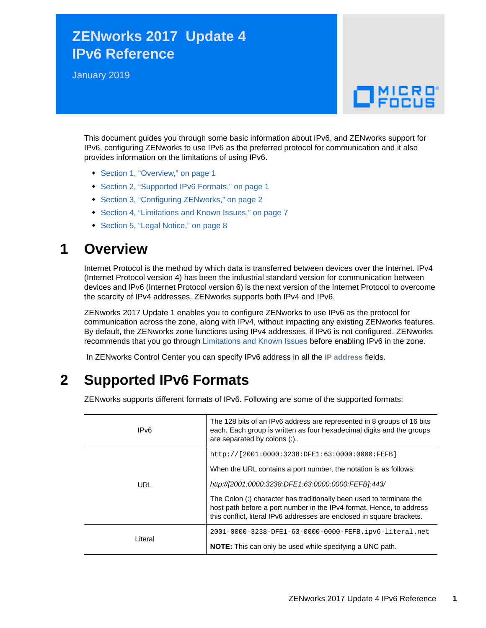# **ZENworks 2017 Update 4 IPv6 Reference**

January 2019

# $\Box$ MICRO

This document guides you through some basic information about IPv6, and ZENworks support for IPv6, configuring ZENworks to use IPv6 as the preferred protocol for communication and it also provides information on the limitations of using IPv6.

- [Section 1, "Overview," on page 1](#page-0-0)
- [Section 2, "Supported IPv6 Formats," on page 1](#page-0-1)
- [Section 3, "Configuring ZENworks," on page 2](#page-1-0)
- [Section 4, "Limitations and Known Issues," on page 7](#page-6-0)
- [Section 5, "Legal Notice," on page 8](#page-7-0)

# <span id="page-0-0"></span>**1 Overview**

Internet Protocol is the method by which data is transferred between devices over the Internet. IPv4 (Internet Protocol version 4) has been the industrial standard version for communication between devices and IPv6 (Internet Protocol version 6) is the next version of the Internet Protocol to overcome the scarcity of IPv4 addresses. ZENworks supports both IPv4 and IPv6.

ZENworks 2017 Update 1 enables you to configure ZENworks to use IPv6 as the protocol for communication across the zone, along with IPv4, without impacting any existing ZENworks features. By default, the ZENworks zone functions using IPv4 addresses, if IPv6 is not configured. ZENworks recommends that you go through [Limitations and Known Issues](#page-6-0) before enabling IPv6 in the zone.

In ZENworks Control Center you can specify IPv6 address in all the **IP address** fields.

# <span id="page-0-1"></span>**2 Supported IPv6 Formats**

ZENworks supports different formats of IPv6. Following are some of the supported formats:

| IPv6    | The 128 bits of an IPv6 address are represented in 8 groups of 16 bits<br>each. Each group is written as four hexadecimal digits and the groups<br>are separated by colons (:)                                         |  |
|---------|------------------------------------------------------------------------------------------------------------------------------------------------------------------------------------------------------------------------|--|
| URL     | http://[2001:0000:3238:DFE1:63:0000:0000:FEFB]                                                                                                                                                                         |  |
|         | When the URL contains a port number, the notation is as follows:                                                                                                                                                       |  |
|         | http://[2001:0000:3238:DFE1:63:0000:0000:FEFB]:443/                                                                                                                                                                    |  |
|         | The Colon (:) character has traditionally been used to terminate the<br>host path before a port number in the IPv4 format. Hence, to address<br>this conflict, literal IPv6 addresses are enclosed in square brackets. |  |
| Literal | 2001-0000-3238-DFE1-63-0000-0000-FEFB.ipv6-literal.net                                                                                                                                                                 |  |
|         | <b>NOTE:</b> This can only be used while specifying a UNC path.                                                                                                                                                        |  |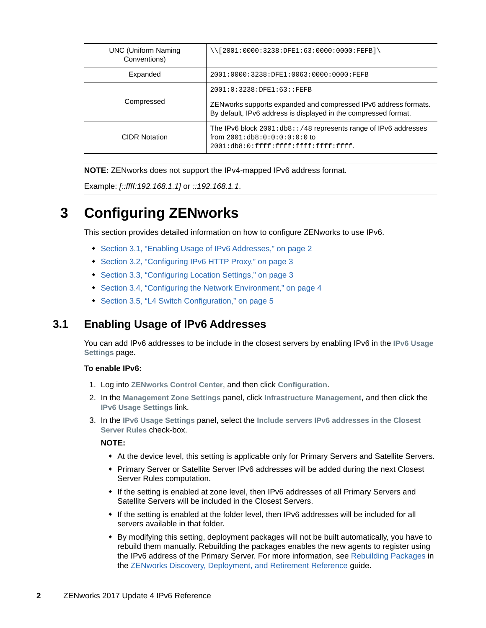| <b>UNC (Uniform Naming)</b><br>Conventions) | $\setminus$ [2001:0000:3238:DFE1:63:0000:0000:FEFB] $\setminus$                                                                                                  |  |
|---------------------------------------------|------------------------------------------------------------------------------------------------------------------------------------------------------------------|--|
| Expanded                                    | 2001:0000:3238:DFE1:0063:0000:0000:FEFB                                                                                                                          |  |
| Compressed                                  | 2001:0:3238:DFE1:63::FEFB<br>ZEN works supports expanded and compressed IPv6 address formats.<br>By default, IPv6 address is displayed in the compressed format. |  |
| <b>CIDR Notation</b>                        | The IPv6 block 2001:db8::/48 represents range of IPv6 addresses<br>from $2001:db8:0:0:0:0:0:0$<br>2001:db8:0:ffff:ffff:ffff:ffff:ffff:                           |  |

**NOTE:** ZENworks does not support the IPv4-mapped IPv6 address format.

Example: *[::ffff:192.168.1.1]* or *::192.168.1.1*.

# <span id="page-1-0"></span>**3 Configuring ZENworks**

This section provides detailed information on how to configure ZENworks to use IPv6.

- [Section 3.1, "Enabling Usage of IPv6 Addresses," on page 2](#page-1-1)
- [Section 3.2, "Configuring IPv6 HTTP Proxy," on page 3](#page-2-0)
- [Section 3.3, "Configuring Location Settings," on page 3](#page-2-1)
- [Section 3.4, "Configuring the Network Environment," on page 4](#page-3-0)
- ◆ [Section 3.5, "L4 Switch Configuration," on page 5](#page-4-0)

### <span id="page-1-1"></span>**3.1 Enabling Usage of IPv6 Addresses**

You can add IPv6 addresses to be include in the closest servers by enabling IPv6 in the **IPv6 Usage Settings** page.

#### **To enable IPv6:**

- 1. Log into **ZENworks Control Center**, and then click **Configuration**.
- 2. In the **Management Zone Settings** panel, click **Infrastructure Management**, and then click the **IPv6 Usage Settings** link.
- 3. In the **IPv6 Usage Settings** panel, select the **Include servers IPv6 addresses in the Closest Server Rules** check-box.

#### **NOTE:**

- At the device level, this setting is applicable only for Primary Servers and Satellite Servers.
- Primary Server or Satellite Server IPv6 addresses will be added during the next Closest Server Rules computation.
- If the setting is enabled at zone level, then IPv6 addresses of all Primary Servers and Satellite Servers will be included in the Closest Servers.
- If the setting is enabled at the folder level, then IPv6 addresses will be included for all servers available in that folder.
- By modifying this setting, deployment packages will not be built automatically, you have to rebuild them manually. Rebuilding the packages enables the new agents to register using the IPv6 address of the Primary Server. For more information, see [Rebuilding Packages](https://www.novell.com/documentation/zenworks-2017-update-4/pdfdoc/zen_discovery_deployment/zen_discovery_deployment.pdf#bjda39p) in the [ZENworks Discovery, Deployment, and Retirement Reference](https://www.novell.com/documentation/zenworks-2017-update-4/pdfdoc/zen_discovery_deployment/zen_discovery_deployment.pdf#bookinfo) guide.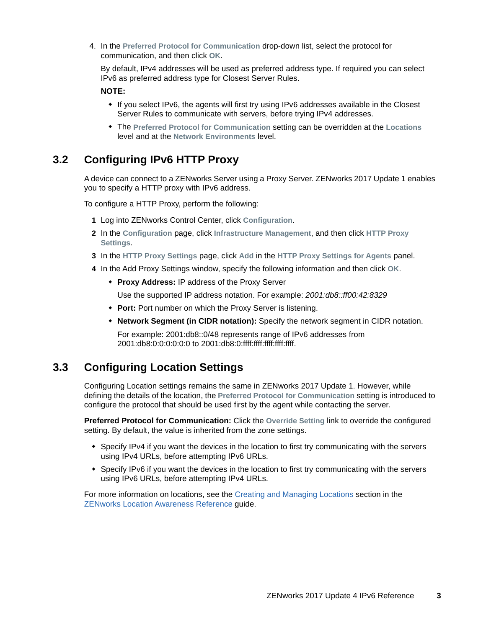4. In the **Preferred Protocol for Communication** drop-down list, select the protocol for communication, and then click **OK**.

By default, IPv4 addresses will be used as preferred address type. If required you can select IPv6 as preferred address type for Closest Server Rules.

#### **NOTE:**

- If you select IPv6, the agents will first try using IPv6 addresses available in the Closest Server Rules to communicate with servers, before trying IPv4 addresses.
- The **Preferred Protocol for Communication** setting can be overridden at the **Locations** level and at the **Network Environments** level.

# <span id="page-2-0"></span>**3.2 Configuring IPv6 HTTP Proxy**

A device can connect to a ZENworks Server using a Proxy Server. ZENworks 2017 Update 1 enables you to specify a HTTP proxy with IPv6 address.

To configure a HTTP Proxy, perform the following:

- **1** Log into ZENworks Control Center, click **Configuration**.
- **2** In the **Configuration** page, click **Infrastructure Management**, and then click **HTTP Proxy Settings**.
- **3** In the **HTTP Proxy Settings** page, click **Add** in the **HTTP Proxy Settings for Agents** panel.
- **4** In the Add Proxy Settings window, specify the following information and then click **OK**.
	- **Proxy Address:** IP address of the Proxy Server

Use the supported IP address notation. For example: *2001:db8::ff00:42:8329*

- **Port:** Port number on which the Proxy Server is listening.
- **Network Segment (in CIDR notation):** Specify the network segment in CIDR notation.

For example: 2001:db8::0/48 represents range of IPv6 addresses from 2001:db8:0:0:0:0:0:0 to 2001:db8:0:ffff:ffff:ffff:ffff:ffff.

# <span id="page-2-1"></span>**3.3 Configuring Location Settings**

Configuring Location settings remains the same in ZENworks 2017 Update 1. However, while defining the details of the location, the **Preferred Protocol for Communication** setting is introduced to configure the protocol that should be used first by the agent while contacting the server.

**Preferred Protocol for Communication:** Click the **Override Setting** link to override the configured setting. By default, the value is inherited from the zone settings.

- Specify IPv4 if you want the devices in the location to first try communicating with the servers using IPv4 URLs, before attempting IPv6 URLs.
- Specify IPv6 if you want the devices in the location to first try communicating with the servers using IPv6 URLs, before attempting IPv4 URLs.

For more information on locations, see the [Creating and Managing Locations](https://www.novell.com/documentation/zenworks-2017-update-4/pdfdoc/zen_sys_location/zen_sys_location.pdf#boul03n) section in the [ZENworks Location Awareness Reference](https://www.novell.com/documentation/zenworks-2017-update-4/pdfdoc/zen_sys_location/zen_sys_location.pdf#bookinfo) guide.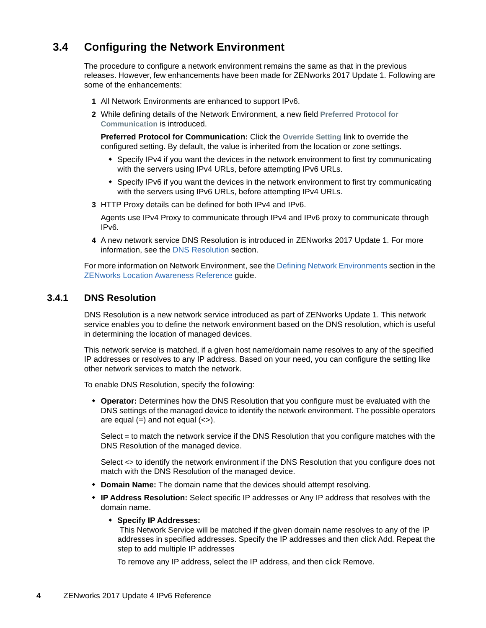# <span id="page-3-0"></span>**3.4 Configuring the Network Environment**

The procedure to configure a network environment remains the same as that in the previous releases. However, few enhancements have been made for ZENworks 2017 Update 1. Following are some of the enhancements:

- **1** All Network Environments are enhanced to support IPv6.
- **2** While defining details of the Network Environment, a new field **Preferred Protocol for Communication** is introduced.

**Preferred Protocol for Communication:** Click the **Override Setting** link to override the configured setting. By default, the value is inherited from the location or zone settings.

- Specify IPv4 if you want the devices in the network environment to first try communicating with the servers using IPv4 URLs, before attempting IPv6 URLs.
- Specify IPv6 if you want the devices in the network environment to first try communicating with the servers using IPv6 URLs, before attempting IPv4 URLs.
- **3** HTTP Proxy details can be defined for both IPv4 and IPv6.

Agents use IPv4 Proxy to communicate through IPv4 and IPv6 proxy to communicate through IPv6.

**4** A new network service DNS Resolution is introduced in ZENworks 2017 Update 1. For more information, see the [DNS Resolution](#page-3-1) section.

For more information on Network Environment, see the [Defining Network Environments](https://www.novell.com/documentation/zenworks-2017-update-4/pdfdoc/zen_sys_location/zen_sys_location.pdf#brxyrua) section in the [ZENworks Location Awareness Reference](https://www.novell.com/documentation/zenworks-2017-update-4/pdfdoc/zen_sys_location/zen_sys_location.pdf#bookinfo) guide.

#### <span id="page-3-1"></span>**3.4.1 DNS Resolution**

DNS Resolution is a new network service introduced as part of ZENworks Update 1. This network service enables you to define the network environment based on the DNS resolution, which is useful in determining the location of managed devices.

This network service is matched, if a given host name/domain name resolves to any of the specified IP addresses or resolves to any IP address. Based on your need, you can configure the setting like other network services to match the network.

To enable DNS Resolution, specify the following:

 **Operator:** Determines how the DNS Resolution that you configure must be evaluated with the DNS settings of the managed device to identify the network environment. The possible operators are equal  $(=)$  and not equal  $(<=)$ .

Select = to match the network service if the DNS Resolution that you configure matches with the DNS Resolution of the managed device.

Select <> to identify the network environment if the DNS Resolution that you configure does not match with the DNS Resolution of the managed device.

- **Domain Name:** The domain name that the devices should attempt resolving.
- **IP Address Resolution:** Select specific IP addresses or Any IP address that resolves with the domain name.

#### **Specify IP Addresses:**

This Network Service will be matched if the given domain name resolves to any of the IP addresses in specified addresses. Specify the IP addresses and then click Add. Repeat the step to add multiple IP addresses

To remove any IP address, select the IP address, and then click Remove.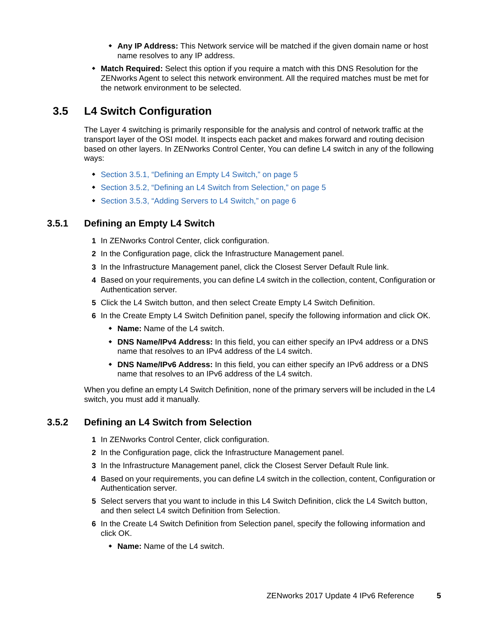- **Any IP Address:** This Network service will be matched if the given domain name or host name resolves to any IP address.
- **Match Required:** Select this option if you require a match with this DNS Resolution for the ZENworks Agent to select this network environment. All the required matches must be met for the network environment to be selected.

# <span id="page-4-0"></span>**3.5 L4 Switch Configuration**

The Layer 4 switching is primarily responsible for the analysis and control of network traffic at the transport layer of the OSI model. It inspects each packet and makes forward and routing decision based on other layers. In ZENworks Control Center, You can define L4 switch in any of the following ways:

- [Section 3.5.1, "Defining an Empty L4 Switch," on page 5](#page-4-1)
- [Section 3.5.2, "Defining an L4 Switch from Selection," on page 5](#page-4-2)
- [Section 3.5.3, "Adding Servers to L4 Switch," on page 6](#page-5-0)

### <span id="page-4-1"></span>**3.5.1 Defining an Empty L4 Switch**

- **1** In ZENworks Control Center, click configuration.
- **2** In the Configuration page, click the Infrastructure Management panel.
- **3** In the Infrastructure Management panel, click the Closest Server Default Rule link.
- **4** Based on your requirements, you can define L4 switch in the collection, content, Configuration or Authentication server.
- **5** Click the L4 Switch button, and then select Create Empty L4 Switch Definition.
- **6** In the Create Empty L4 Switch Definition panel, specify the following information and click OK.
	- **Name:** Name of the L4 switch.
	- **DNS Name/IPv4 Address:** In this field, you can either specify an IPv4 address or a DNS name that resolves to an IPv4 address of the L4 switch.
	- **DNS Name/IPv6 Address:** In this field, you can either specify an IPv6 address or a DNS name that resolves to an IPv6 address of the L4 switch.

When you define an empty L4 Switch Definition, none of the primary servers will be included in the L4 switch, you must add it manually.

### <span id="page-4-2"></span>**3.5.2 Defining an L4 Switch from Selection**

- **1** In ZENworks Control Center, click configuration.
- **2** In the Configuration page, click the Infrastructure Management panel.
- **3** In the Infrastructure Management panel, click the Closest Server Default Rule link.
- **4** Based on your requirements, you can define L4 switch in the collection, content, Configuration or Authentication server.
- **5** Select servers that you want to include in this L4 Switch Definition, click the L4 Switch button, and then select L4 switch Definition from Selection.
- **6** In the Create L4 Switch Definition from Selection panel, specify the following information and click OK.
	- **Name:** Name of the L4 switch.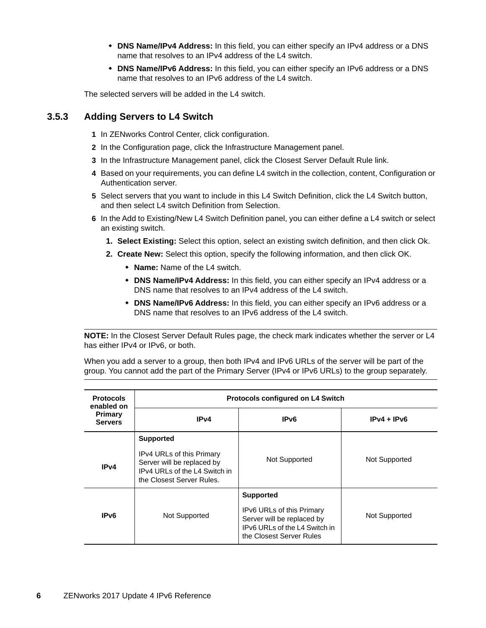- **DNS Name/IPv4 Address:** In this field, you can either specify an IPv4 address or a DNS name that resolves to an IPv4 address of the L4 switch.
- **DNS Name/IPv6 Address:** In this field, you can either specify an IPv6 address or a DNS name that resolves to an IPv6 address of the L4 switch.

The selected servers will be added in the L4 switch.

### <span id="page-5-0"></span>**3.5.3 Adding Servers to L4 Switch**

- **1** In ZENworks Control Center, click configuration.
- **2** In the Configuration page, click the Infrastructure Management panel.
- **3** In the Infrastructure Management panel, click the Closest Server Default Rule link.
- **4** Based on your requirements, you can define L4 switch in the collection, content, Configuration or Authentication server.
- **5** Select servers that you want to include in this L4 Switch Definition, click the L4 Switch button, and then select L4 switch Definition from Selection.
- **6** In the Add to Existing/New L4 Switch Definition panel, you can either define a L4 switch or select an existing switch.
	- **1. Select Existing:** Select this option, select an existing switch definition, and then click Ok.
	- **2. Create New:** Select this option, specify the following information, and then click OK.
		- **Name:** Name of the L4 switch.
		- **DNS Name/IPv4 Address:** In this field, you can either specify an IPv4 address or a DNS name that resolves to an IPv4 address of the L4 switch.
		- **DNS Name/IPv6 Address:** In this field, you can either specify an IPv6 address or a DNS name that resolves to an IPv6 address of the L4 switch.

**NOTE:** In the Closest Server Default Rules page, the check mark indicates whether the server or L4 has either IPv4 or IPv6, or both.

When you add a server to a group, then both IPv4 and IPv6 URLs of the server will be part of the group. You cannot add the part of the Primary Server (IPv4 or IPv6 URLs) to the group separately.

| <b>Protocols</b><br>enabled on | <b>Protocols configured on L4 Switch</b>                                                                                                  |                                                                                                                                                 |               |  |
|--------------------------------|-------------------------------------------------------------------------------------------------------------------------------------------|-------------------------------------------------------------------------------------------------------------------------------------------------|---------------|--|
| Primary<br><b>Servers</b>      | IP <sub>v4</sub>                                                                                                                          | IP <sub>v6</sub>                                                                                                                                | $IPv4 + IPv6$ |  |
| IPv4                           | <b>Supported</b><br>IPv4 URLs of this Primary<br>Server will be replaced by<br>IPv4 URLs of the L4 Switch in<br>the Closest Server Rules. | Not Supported                                                                                                                                   | Not Supported |  |
| IP <sub>v6</sub>               | Not Supported                                                                                                                             | <b>Supported</b><br><b>IPv6 URLs of this Primary</b><br>Server will be replaced by<br>IPv6 URLs of the L4 Switch in<br>the Closest Server Rules | Not Supported |  |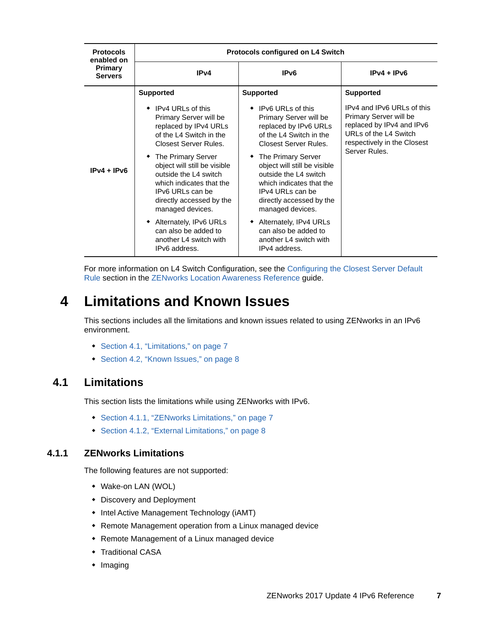| <b>Protocols</b><br>enabled on   | <b>Protocols configured on L4 Switch</b>                                                                                                                                                                                                                                                                                                                              |                                                                                                                                                                                                                                                                                                                                                                       |                                                                                                                                                            |  |
|----------------------------------|-----------------------------------------------------------------------------------------------------------------------------------------------------------------------------------------------------------------------------------------------------------------------------------------------------------------------------------------------------------------------|-----------------------------------------------------------------------------------------------------------------------------------------------------------------------------------------------------------------------------------------------------------------------------------------------------------------------------------------------------------------------|------------------------------------------------------------------------------------------------------------------------------------------------------------|--|
| <b>Primary</b><br><b>Servers</b> | IPv4                                                                                                                                                                                                                                                                                                                                                                  | IP <sub>v6</sub>                                                                                                                                                                                                                                                                                                                                                      | $IPv4 + IPv6$                                                                                                                                              |  |
|                                  | <b>Supported</b>                                                                                                                                                                                                                                                                                                                                                      | <b>Supported</b>                                                                                                                                                                                                                                                                                                                                                      | <b>Supported</b>                                                                                                                                           |  |
| $IPv4 + IPv6$                    | $\bullet$ IPv4 URLs of this<br>Primary Server will be<br>replaced by IPv4 URLs<br>of the L4 Switch in the<br>Closest Server Rules.<br>• The Primary Server<br>object will still be visible<br>outside the L4 switch<br>which indicates that the<br>IPv6 URLs can be<br>directly accessed by the<br>managed devices.<br>Alternately, IPv6 URLs<br>can also be added to | $\bullet$ IPv6 URLs of this<br>Primary Server will be<br>replaced by IPv6 URLs<br>of the L4 Switch in the<br>Closest Server Rules.<br>• The Primary Server<br>object will still be visible<br>outside the L4 switch<br>which indicates that the<br>IPv4 URLs can be<br>directly accessed by the<br>managed devices.<br>Alternately, IPv4 URLs<br>can also be added to | IPv4 and IPv6 URLs of this<br>Primary Server will be<br>replaced by IPv4 and IPv6<br>URLs of the L4 Switch<br>respectively in the Closest<br>Server Rules. |  |
|                                  | another L4 switch with<br>IPv6 address.                                                                                                                                                                                                                                                                                                                               | another L4 switch with<br>IPv4 address.                                                                                                                                                                                                                                                                                                                               |                                                                                                                                                            |  |

For more information on L4 Switch Configuration, see the [Configuring the Closest Server Default](https://www.novell.com/documentation/zenworks-2017-update-4/pdfdoc/zen_sys_location/zen_sys_location.pdf#bafj5yk)  Rule section in the [ZENworks Location Awareness Reference](https://www.novell.com/documentation/zenworks-2017-update-4/pdfdoc/zen_sys_location/zen_sys_location.pdf#bookinfo) guide.

# <span id="page-6-0"></span>**4 Limitations and Known Issues**

This sections includes all the limitations and known issues related to using ZENworks in an IPv6 environment.

- [Section 4.1, "Limitations," on page 7](#page-6-1)
- [Section 4.2, "Known Issues," on page 8](#page-7-1)

### <span id="page-6-1"></span>**4.1 Limitations**

This section lists the limitations while using ZENworks with IPv6.

- [Section 4.1.1, "ZENworks Limitations," on page 7](#page-6-2)
- [Section 4.1.2, "External Limitations," on page 8](#page-7-2)

#### <span id="page-6-2"></span>**4.1.1 ZENworks Limitations**

The following features are not supported:

- Wake-on LAN (WOL)
- Discovery and Deployment
- Intel Active Management Technology (iAMT)
- Remote Management operation from a Linux managed device
- Remote Management of a Linux managed device
- **+ Traditional CASA**
- $\bullet$  Imaging